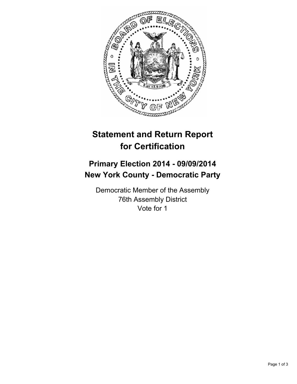

## **Statement and Return Report for Certification**

## **Primary Election 2014 - 09/09/2014 New York County - Democratic Party**

Democratic Member of the Assembly 76th Assembly District Vote for 1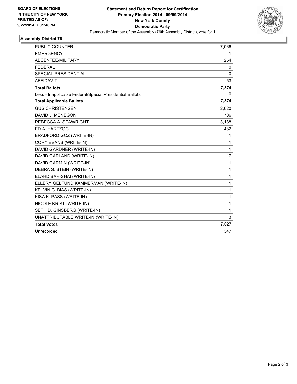

## **Assembly District 76**

| <b>PUBLIC COUNTER</b>                                    | 7,066        |
|----------------------------------------------------------|--------------|
| <b>EMERGENCY</b>                                         | 1            |
| ABSENTEE/MILITARY                                        | 254          |
| <b>FEDERAL</b>                                           | 0            |
| <b>SPECIAL PRESIDENTIAL</b>                              | $\mathbf{0}$ |
| <b>AFFIDAVIT</b>                                         | 53           |
| <b>Total Ballots</b>                                     | 7,374        |
| Less - Inapplicable Federal/Special Presidential Ballots | 0            |
| <b>Total Applicable Ballots</b>                          | 7,374        |
| <b>GUS CHRISTENSEN</b>                                   | 2,620        |
| DAVID J. MENEGON                                         | 706          |
| REBECCA A. SEAWRIGHT                                     | 3,188        |
| ED A. HARTZOG                                            | 482          |
| <b>BRADFORD GOZ (WRITE-IN)</b>                           | 1            |
| CORY EVANS (WRITE-IN)                                    | 1            |
| DAVID GARDNER (WRITE-IN)                                 | 1            |
| DAVID GARLAND (WRITE-IN)                                 | 17           |
| DAVID GARMIN (WRITE-IN)                                  | 1            |
| DEBRA S. STEIN (WRITE-IN)                                | 1            |
| ELAHD BAR-SHAI (WRITE-IN)                                | 1            |
| ELLERY GELFUND KAMMERMAN (WRITE-IN)                      | 1            |
| KELVIN C. BIAS (WRITE-IN)                                | 1            |
| KISA K. PASS (WRITE-IN)                                  | 1            |
| NICOLE KRIST (WRITE-IN)                                  | 1            |
| SETH D. GINSBERG (WRITE-IN)                              | 1            |
| UNATTRIBUTABLE WRITE-IN (WRITE-IN)                       | 3            |
| <b>Total Votes</b>                                       | 7,027        |
| Unrecorded                                               | 347          |